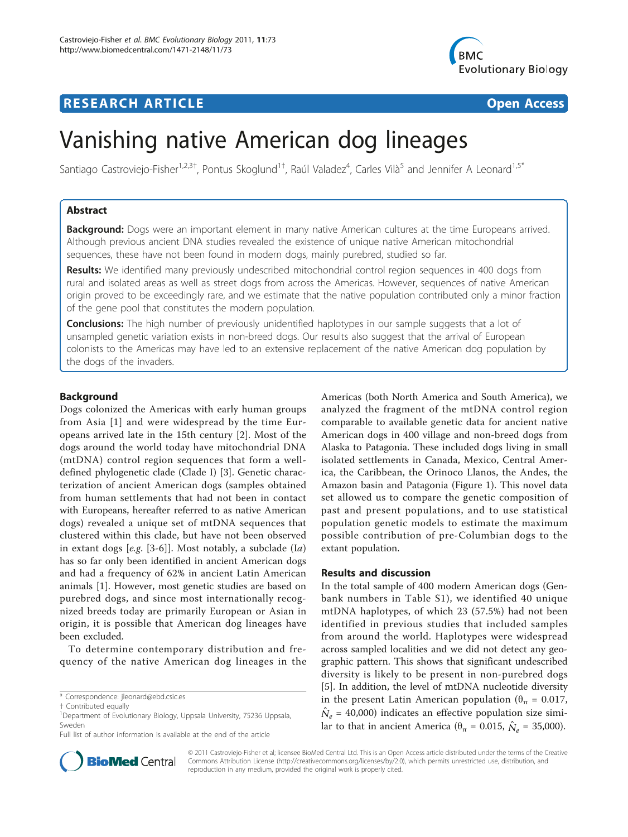## **RESEARCH ARTICLE Example 2018 Open Access**



# Vanishing native American dog lineages

Santiago Castroviejo-Fisher<sup>1,2,3†</sup>, Pontus Skoglund<sup>1†</sup>, Raúl Valadez<sup>4</sup>, Carles Vilà<sup>5</sup> and Jennifer A Leonard<sup>1,5\*</sup>

## Abstract

Background: Dogs were an important element in many native American cultures at the time Europeans arrived. Although previous ancient DNA studies revealed the existence of unique native American mitochondrial sequences, these have not been found in modern dogs, mainly purebred, studied so far.

**Results:** We identified many previously undescribed mitochondrial control region sequences in 400 dogs from rural and isolated areas as well as street dogs from across the Americas. However, sequences of native American origin proved to be exceedingly rare, and we estimate that the native population contributed only a minor fraction of the gene pool that constitutes the modern population.

**Conclusions:** The high number of previously unidentified haplotypes in our sample suggests that a lot of unsampled genetic variation exists in non-breed dogs. Our results also suggest that the arrival of European colonists to the Americas may have led to an extensive replacement of the native American dog population by the dogs of the invaders.

## Background

Dogs colonized the Americas with early human groups from Asia [[1\]](#page-4-0) and were widespread by the time Europeans arrived late in the 15th century [\[2](#page-4-0)]. Most of the dogs around the world today have mitochondrial DNA (mtDNA) control region sequences that form a welldefined phylogenetic clade (Clade I) [[3\]](#page-4-0). Genetic characterization of ancient American dogs (samples obtained from human settlements that had not been in contact with Europeans, hereafter referred to as native American dogs) revealed a unique set of mtDNA sequences that clustered within this clade, but have not been observed in extant dogs  $[e.g. [3-6]]$  $[e.g. [3-6]]$  $[e.g. [3-6]]$  $[e.g. [3-6]]$  $[e.g. [3-6]]$ . Most notably, a subclade  $(Ia)$ has so far only been identified in ancient American dogs and had a frequency of 62% in ancient Latin American animals [[1](#page-4-0)]. However, most genetic studies are based on purebred dogs, and since most internationally recognized breeds today are primarily European or Asian in origin, it is possible that American dog lineages have been excluded.

To determine contemporary distribution and frequency of the native American dog lineages in the

\* Correspondence: [jleonard@ebd.csic.es](mailto:jleonard@ebd.csic.es)

Americas (both North America and South America), we analyzed the fragment of the mtDNA control region comparable to available genetic data for ancient native American dogs in 400 village and non-breed dogs from Alaska to Patagonia. These included dogs living in small isolated settlements in Canada, Mexico, Central America, the Caribbean, the Orinoco Llanos, the Andes, the Amazon basin and Patagonia (Figure [1\)](#page-1-0). This novel data set allowed us to compare the genetic composition of past and present populations, and to use statistical population genetic models to estimate the maximum possible contribution of pre-Columbian dogs to the extant population.

## Results and discussion

In the total sample of 400 modern American dogs (Genbank numbers in Table S1), we identified 40 unique mtDNA haplotypes, of which 23 (57.5%) had not been identified in previous studies that included samples from around the world. Haplotypes were widespread across sampled localities and we did not detect any geographic pattern. This shows that significant undescribed diversity is likely to be present in non-purebred dogs [[5\]](#page-4-0). In addition, the level of mtDNA nucleotide diversity in the present Latin American population ( $\theta_{\pi} = 0.017$ ,  $\hat{N}_e$  = 40,000) indicates an effective population size similar to that in ancient America ( $\theta_{\pi}$  = 0.015,  $\hat{N}_e$  = 35,000).



© 2011 Castroviejo-Fisher et al; licensee BioMed Central Ltd. This is an Open Access article distributed under the terms of the Creative Commons Attribution License [\(http://creativecommons.org/licenses/by/2.0](http://creativecommons.org/licenses/by/2.0)), which permits unrestricted use, distribution, and reproduction in any medium, provided the original work is properly cited.

<sup>†</sup> Contributed equally <sup>1</sup>

<sup>&</sup>lt;sup>1</sup>Department of Evolutionary Biology, Uppsala University, 75236 Uppsala, Sweden

Full list of author information is available at the end of the article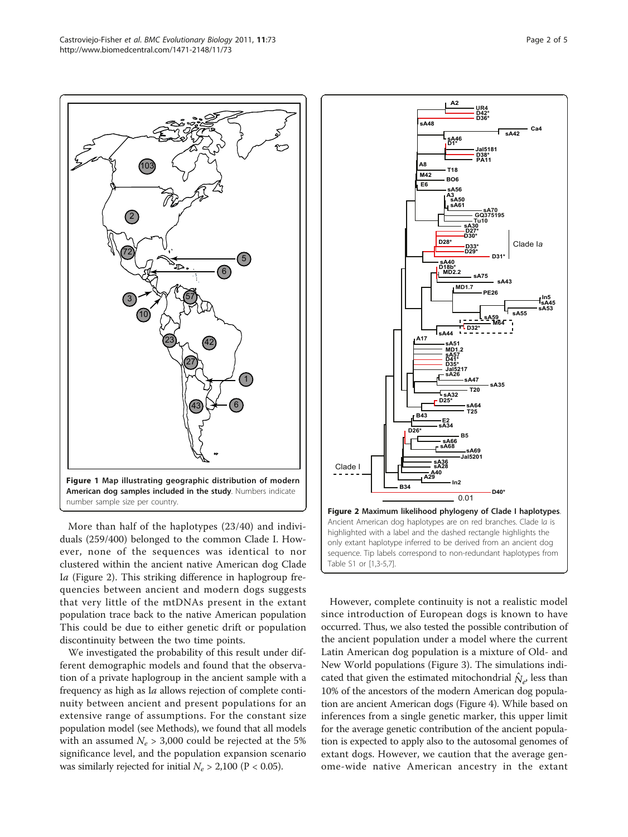<span id="page-1-0"></span>

More than half of the haplotypes (23/40) and individuals (259/400) belonged to the common Clade I. However, none of the sequences was identical to nor clustered within the ancient native American dog Clade <sup>I</sup>a (Figure 2). This striking difference in haplogroup frequencies between ancient and modern dogs suggests that very little of the mtDNAs present in the extant population trace back to the native American population This could be due to either genetic drift or population discontinuity between the two time points.

We investigated the probability of this result under different demographic models and found that the observation of a private haplogroup in the ancient sample with a frequency as high as Ia allows rejection of complete continuity between ancient and present populations for an extensive range of assumptions. For the constant size population model (see Methods), we found that all models with an assumed  $N_e > 3,000$  could be rejected at the 5% significance level, and the population expansion scenario was similarly rejected for initial  $N_e > 2,100$  (P < 0.05).



However, complete continuity is not a realistic model since introduction of European dogs is known to have occurred. Thus, we also tested the possible contribution of the ancient population under a model where the current Latin American dog population is a mixture of Old- and New World populations (Figure [3\)](#page-2-0). The simulations indicated that given the estimated mitochondrial  $\hat{N}_{e}$ , less than 10% of the ancestors of the modern American dog population are ancient American dogs (Figure [4](#page-2-0)). While based on inferences from a single genetic marker, this upper limit for the average genetic contribution of the ancient population is expected to apply also to the autosomal genomes of extant dogs. However, we caution that the average genome-wide native American ancestry in the extant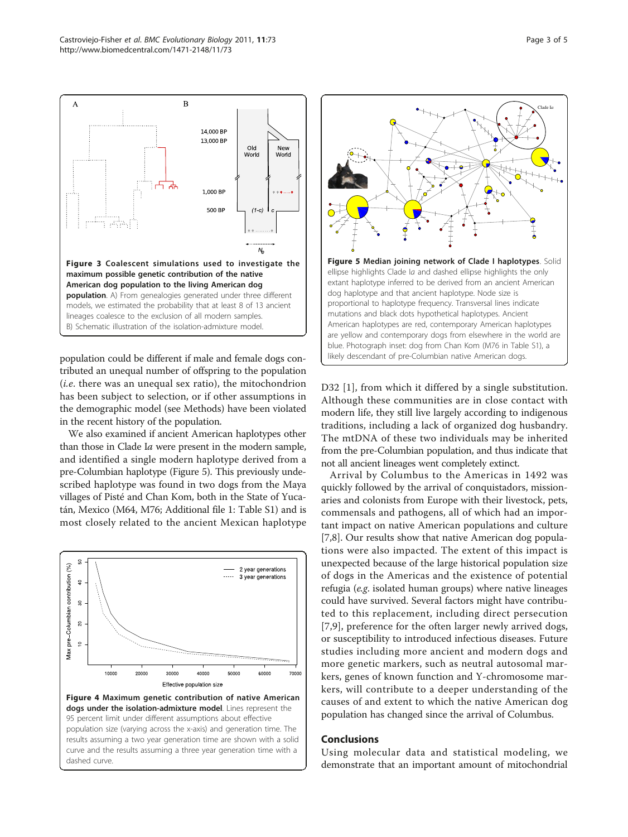<span id="page-2-0"></span>

population could be different if male and female dogs contributed an unequal number of offspring to the population (*i.e.* there was an unequal sex ratio), the mitochondrion has been subject to selection, or if other assumptions in the demographic model (see Methods) have been violated in the recent history of the population.

We also examined if ancient American haplotypes other than those in Clade Ia were present in the modern sample, and identified a single modern haplotype derived from a pre-Columbian haplotype (Figure 5). This previously undescribed haplotype was found in two dogs from the Maya villages of Pisté and Chan Kom, both in the State of Yucatán, Mexico (M64, M76; Additional file [1](#page-4-0): Table S1) and is most closely related to the ancient Mexican haplotype





D32 [\[1\]](#page-4-0), from which it differed by a single substitution. Although these communities are in close contact with modern life, they still live largely according to indigenous traditions, including a lack of organized dog husbandry. The mtDNA of these two individuals may be inherited from the pre-Columbian population, and thus indicate that not all ancient lineages went completely extinct.

Arrival by Columbus to the Americas in 1492 was quickly followed by the arrival of conquistadors, missionaries and colonists from Europe with their livestock, pets, commensals and pathogens, all of which had an important impact on native American populations and culture [[7,8\]](#page-4-0). Our results show that native American dog populations were also impacted. The extent of this impact is unexpected because of the large historical population size of dogs in the Americas and the existence of potential refugia (e.g. isolated human groups) where native lineages could have survived. Several factors might have contributed to this replacement, including direct persecution [[7,9](#page-4-0)], preference for the often larger newly arrived dogs, or susceptibility to introduced infectious diseases. Future studies including more ancient and modern dogs and more genetic markers, such as neutral autosomal markers, genes of known function and Y-chromosome markers, will contribute to a deeper understanding of the causes of and extent to which the native American dog population has changed since the arrival of Columbus.

## Conclusions

Using molecular data and statistical modeling, we demonstrate that an important amount of mitochondrial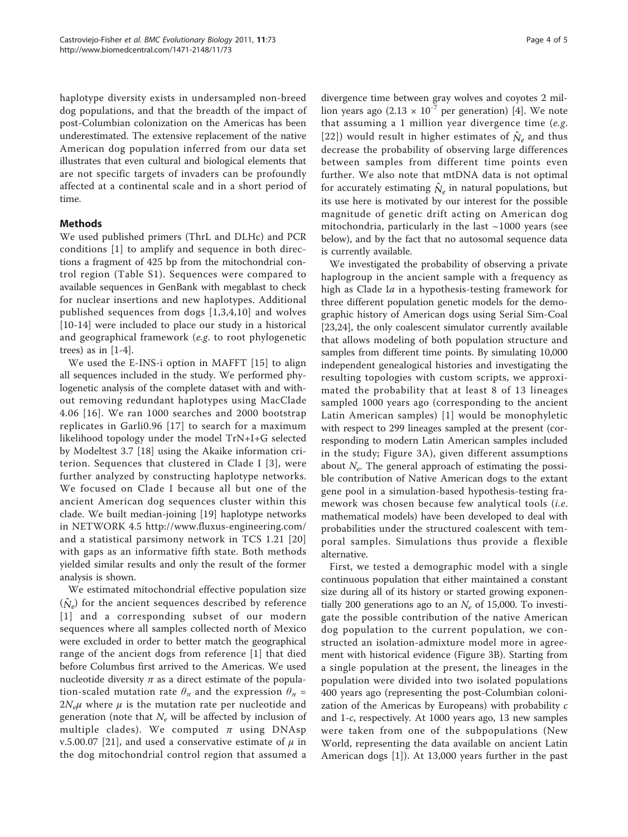haplotype diversity exists in undersampled non-breed dog populations, and that the breadth of the impact of post-Columbian colonization on the Americas has been underestimated. The extensive replacement of the native American dog population inferred from our data set illustrates that even cultural and biological elements that are not specific targets of invaders can be profoundly affected at a continental scale and in a short period of time.

## **Methods**

We used published primers (ThrL and DLHc) and PCR conditions [[1\]](#page-4-0) to amplify and sequence in both directions a fragment of 425 bp from the mitochondrial control region (Table S1). Sequences were compared to available sequences in GenBank with megablast to check for nuclear insertions and new haplotypes. Additional published sequences from dogs [[1,3,4](#page-4-0),[10](#page-4-0)] and wolves [[10-14\]](#page-4-0) were included to place our study in a historical and geographical framework (e.g. to root phylogenetic trees) as in  $[1-4]$  $[1-4]$  $[1-4]$  $[1-4]$ .

We used the E-INS-i option in MAFFT [\[15](#page-4-0)] to align all sequences included in the study. We performed phylogenetic analysis of the complete dataset with and without removing redundant haplotypes using MacClade 4.06 [[16\]](#page-4-0). We ran 1000 searches and 2000 bootstrap replicates in Garli0.96 [[17\]](#page-4-0) to search for a maximum likelihood topology under the model TrN+I+G selected by Modeltest 3.7 [\[18](#page-4-0)] using the Akaike information criterion. Sequences that clustered in Clade I [[3\]](#page-4-0), were further analyzed by constructing haplotype networks. We focused on Clade I because all but one of the ancient American dog sequences cluster within this clade. We built median-joining [[19\]](#page-4-0) haplotype networks in NETWORK 4.5<http://www.fluxus-engineering.com/> and a statistical parsimony network in TCS 1.21 [[20](#page-4-0)] with gaps as an informative fifth state. Both methods yielded similar results and only the result of the former analysis is shown.

We estimated mitochondrial effective population size  $(\hat{N}_{e})$  for the ancient sequences described by reference [[1\]](#page-4-0) and a corresponding subset of our modern sequences where all samples collected north of Mexico were excluded in order to better match the geographical range of the ancient dogs from reference [\[1](#page-4-0)] that died before Columbus first arrived to the Americas. We used nucleotide diversity  $\pi$  as a direct estimate of the population-scaled mutation rate  $\theta_{\pi}$  and the expression  $\theta_{\pi}$  =  $2N_e\mu$  where  $\mu$  is the mutation rate per nucleotide and generation (note that  $N_e$  will be affected by inclusion of multiple clades). We computed  $\pi$  using DNAsp v.5.00.07 [[21](#page-4-0)], and used a conservative estimate of  $\mu$  in the dog mitochondrial control region that assumed a

divergence time between gray wolves and coyotes 2 million years ago  $(2.13 \times 10^{-7}$  per generation) [[4\]](#page-4-0). We note that assuming a 1 million year divergence time  $(e.g.$ [[22\]](#page-4-0)) would result in higher estimates of  $\hat{N}_e$  and thus decrease the probability of observing large differences between samples from different time points even further. We also note that mtDNA data is not optimal for accurately estimating  $\hat{N}_e$  in natural populations, but its use here is motivated by our interest for the possible magnitude of genetic drift acting on American dog mitochondria, particularly in the last  $~1000$  years (see below), and by the fact that no autosomal sequence data is currently available.

We investigated the probability of observing a private haplogroup in the ancient sample with a frequency as high as Clade Ia in a hypothesis-testing framework for three different population genetic models for the demographic history of American dogs using Serial Sim-Coal [[23,24\]](#page-4-0), the only coalescent simulator currently available that allows modeling of both population structure and samples from different time points. By simulating 10,000 independent genealogical histories and investigating the resulting topologies with custom scripts, we approximated the probability that at least 8 of 13 lineages sampled 1000 years ago (corresponding to the ancient Latin American samples) [[1\]](#page-4-0) would be monophyletic with respect to 299 lineages sampled at the present (corresponding to modern Latin American samples included in the study; Figure [3A\)](#page-2-0), given different assumptions about  $N_e$ . The general approach of estimating the possible contribution of Native American dogs to the extant gene pool in a simulation-based hypothesis-testing framework was chosen because few analytical tools (i.e. mathematical models) have been developed to deal with probabilities under the structured coalescent with temporal samples. Simulations thus provide a flexible alternative.

First, we tested a demographic model with a single continuous population that either maintained a constant size during all of its history or started growing exponentially 200 generations ago to an  $N_e$  of 15,000. To investigate the possible contribution of the native American dog population to the current population, we constructed an isolation-admixture model more in agreement with historical evidence (Figure [3B](#page-2-0)). Starting from a single population at the present, the lineages in the population were divided into two isolated populations 400 years ago (representing the post-Columbian colonization of the Americas by Europeans) with probability c and 1-c, respectively. At 1000 years ago, 13 new samples were taken from one of the subpopulations (New World, representing the data available on ancient Latin American dogs [[1\]](#page-4-0)). At 13,000 years further in the past